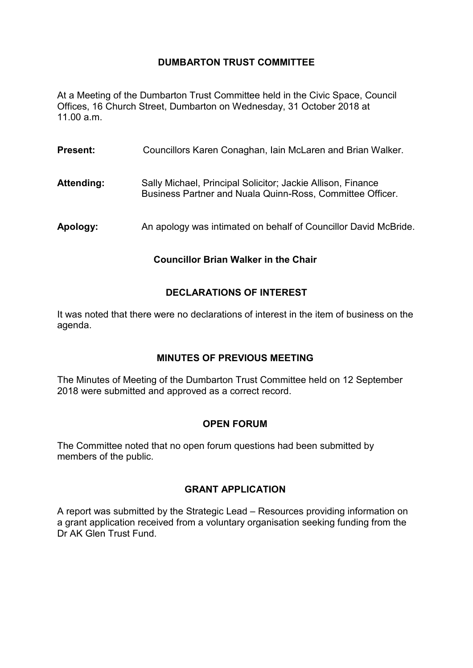## **DUMBARTON TRUST COMMITTEE**

At a Meeting of the Dumbarton Trust Committee held in the Civic Space, Council Offices, 16 Church Street, Dumbarton on Wednesday, 31 October 2018 at 11.00 a.m.

| <b>Present:</b> | Councillors Karen Conaghan, Iain McLaren and Brian Walker.                                                               |
|-----------------|--------------------------------------------------------------------------------------------------------------------------|
| Attending:      | Sally Michael, Principal Solicitor; Jackie Allison, Finance<br>Business Partner and Nuala Quinn-Ross, Committee Officer. |
| Apology:        | An apology was intimated on behalf of Councillor David McBride.                                                          |

## **Councillor Brian Walker in the Chair**

## **DECLARATIONS OF INTEREST**

It was noted that there were no declarations of interest in the item of business on the agenda.

# **MINUTES OF PREVIOUS MEETING**

The Minutes of Meeting of the Dumbarton Trust Committee held on 12 September 2018 were submitted and approved as a correct record.

## **OPEN FORUM**

The Committee noted that no open forum questions had been submitted by members of the public.

## **GRANT APPLICATION**

A report was submitted by the Strategic Lead – Resources providing information on a grant application received from a voluntary organisation seeking funding from the Dr AK Glen Trust Fund.